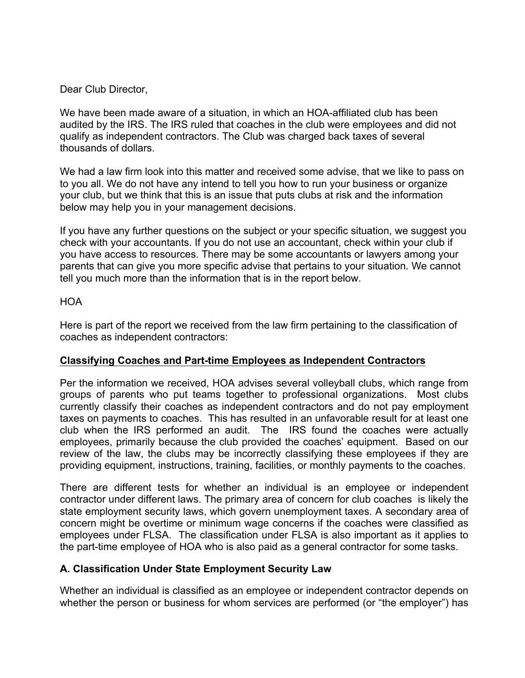Dear Club Director,

We have been made aware of a situation, in which an HOA-affiliated club has been audited by the IRS. The IRS ruled that coaches in the club were employees and did not qualify as independent contractors. The Club was charged back taxes of several thousands of dollars.

We had a law firm look into this matter and received some advise, that we like to pass on to you all. We do not have any intend to tell you how to run your business or organize your club, but we think that this is an issue that puts clubs at risk and the information below may help you in your management decisions.

If you have any further questions on the subject or your specific situation, we suggest you check with your accountants. If you do not use an accountant, check within your club if you have access to resources. There may be some accountants or lawyers among your parents that can give you more specific advise that pertains to your situation. We cannot tell you much more than the information that is in the report below.

## **HOA**

Here is part of the report we received from the law firm pertaining to the classification of coaches as independent contractors:

## **Classifying Coaches and Part-time Employees as Independent Contractors**

Per the information we received, HOA advises several volleyball clubs, which range from groups of parents who put teams together to professional organizations. Most clubs currently classify their coaches as independent contractors and do not pay employment taxes on payments to coaches. This has resulted in an unfavorable result for at least one club when the IRS performed an audit. The IRS found the coaches were actually employees, primarily because the club provided the coaches' equipment. Based on our review of the law, the clubs may be incorrectly classifying these employees if they are providing equipment, instructions, training, facilities, or monthly payments to the coaches.

There are different tests for whether an individual is an employee or independent contractor under different laws. The primary area of concern for club coaches is likely the state employment security laws, which govern unemployment taxes. A secondary area of concern might be overtime or minimum wage concerns if the coaches were classified as employees under FLSA. The classification under FLSA is also important as it applies to the part-time employee of HOA who is also paid as a general contractor for some tasks.

## **A. Classification Under State Employment Security Law**

Whether an individual is classified as an employee or independent contractor depends on whether the person or business for whom services are performed (or "the employer") has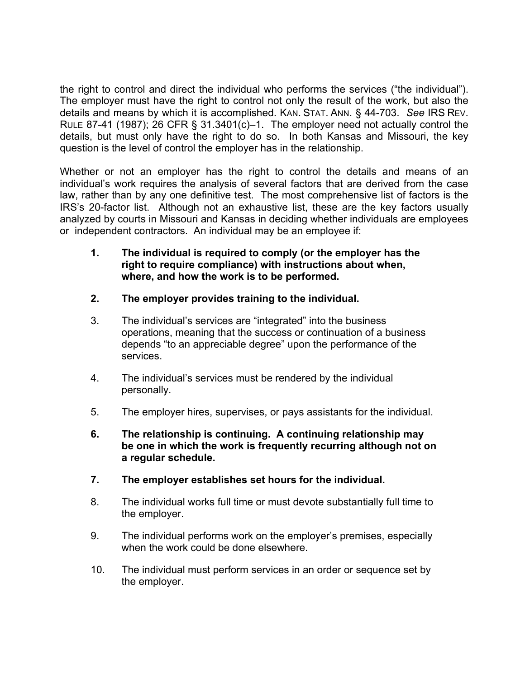the right to control and direct the individual who performs the services ("the individual"). The employer must have the right to control not only the result of the work, but also the details and means by which it is accomplished. KAN. STAT. ANN. § 44-703. *See* IRS REV. RULE 87-41 (1987); 26 CFR § 31.3401(c)–1. The employer need not actually control the details, but must only have the right to do so. In both Kansas and Missouri, the key question is the level of control the employer has in the relationship.

Whether or not an employer has the right to control the details and means of an individual's work requires the analysis of several factors that are derived from the case law, rather than by any one definitive test. The most comprehensive list of factors is the IRS's 20-factor list. Although not an exhaustive list, these are the key factors usually analyzed by courts in Missouri and Kansas in deciding whether individuals are employees or independent contractors. An individual may be an employee if:

- **1. The individual is required to comply (or the employer has the right to require compliance) with instructions about when, where, and how the work is to be performed.**
- **2. The employer provides training to the individual.**
- 3. The individual's services are "integrated" into the business operations, meaning that the success or continuation of a business depends "to an appreciable degree" upon the performance of the services.
- 4. The individual's services must be rendered by the individual personally.
- 5. The employer hires, supervises, or pays assistants for the individual.
- **6. The relationship is continuing. A continuing relationship may be one in which the work is frequently recurring although not on a regular schedule.**
- **7. The employer establishes set hours for the individual.**
- 8. The individual works full time or must devote substantially full time to the employer.
- 9. The individual performs work on the employer's premises, especially when the work could be done elsewhere.
- 10. The individual must perform services in an order or sequence set by the employer.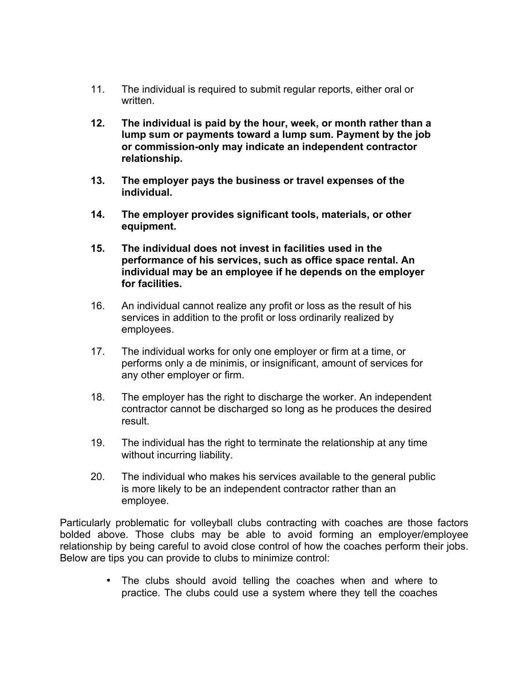- 11. The individual is required to submit regular reports, either oral or written.
- **12. The individual is paid by the hour, week, or month rather than a lump sum or payments toward a lump sum. Payment by the job or commission-only may indicate an independent contractor relationship.**
- **13. The employer pays the business or travel expenses of the individual.**
- **14. The employer provides significant tools, materials, or other equipment.**
- **15. The individual does not invest in facilities used in the performance of his services, such as office space rental. An individual may be an employee if he depends on the employer for facilities.**
- 16. An individual cannot realize any profit or loss as the result of his services in addition to the profit or loss ordinarily realized by employees.
- 17. The individual works for only one employer or firm at a time, or performs only a de minimis, or insignificant, amount of services for any other employer or firm.
- 18. The employer has the right to discharge the worker. An independent contractor cannot be discharged so long as he produces the desired result.
- 19. The individual has the right to terminate the relationship at any time without incurring liability.
- 20. The individual who makes his services available to the general public is more likely to be an independent contractor rather than an employee.

Particularly problematic for volleyball clubs contracting with coaches are those factors bolded above. Those clubs may be able to avoid forming an employer/employee relationship by being careful to avoid close control of how the coaches perform their jobs. Below are tips you can provide to clubs to minimize control:

> • The clubs should avoid telling the coaches when and where to practice. The clubs could use a system where they tell the coaches